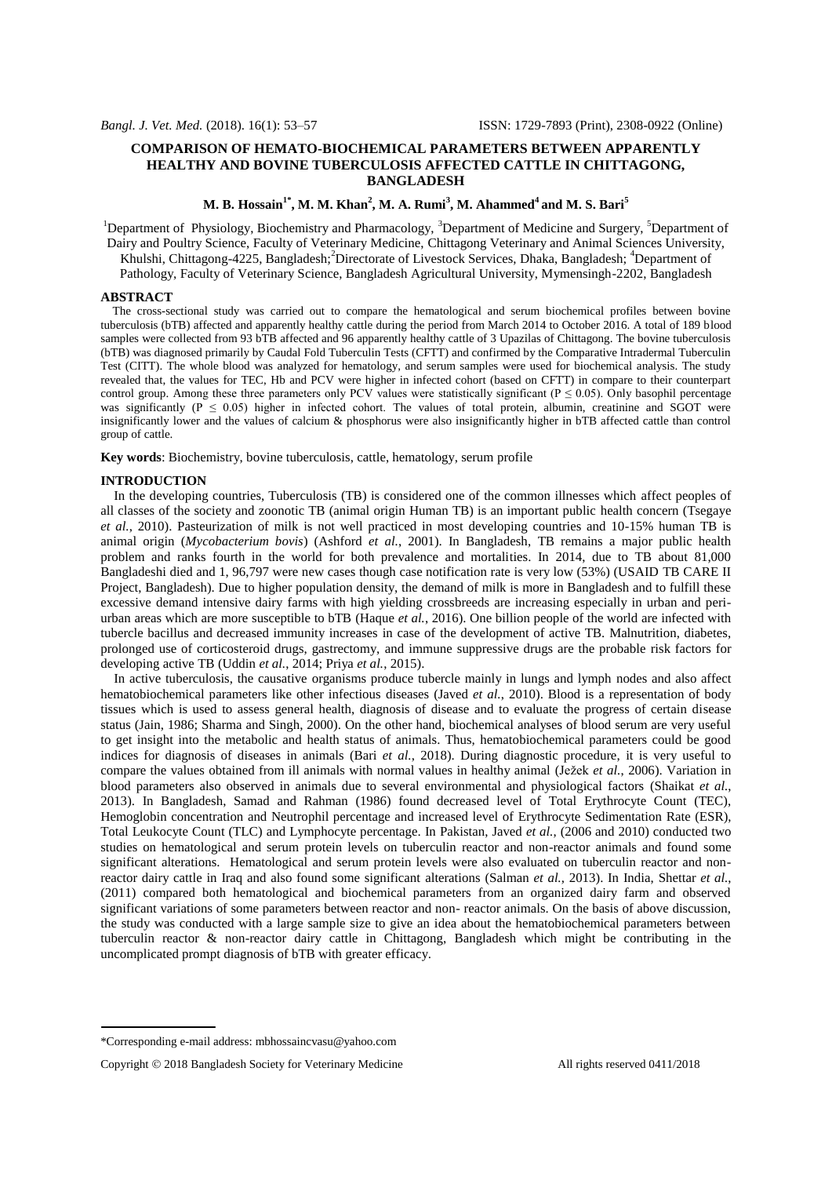## **COMPARISON OF HEMATO-BIOCHEMICAL PARAMETERS BETWEEN APPARENTLY HEALTHY AND BOVINE TUBERCULOSIS AFFECTED CATTLE IN CHITTAGONG, BANGLADESH**

# **M. B. Hossain1\* , M. M. Khan<sup>2</sup> , M. A. Rumi<sup>3</sup> , M. Ahammed<sup>4</sup>and M. S. Bari<sup>5</sup>**

<sup>1</sup>Department of Physiology, Biochemistry and Pharmacology, <sup>3</sup>Department of Medicine and Surgery, <sup>5</sup>Department of Dairy and Poultry Science, Faculty of Veterinary Medicine, Chittagong Veterinary and Animal Sciences University, Khulshi, Chittagong-4225, Bangladesh;<sup>2</sup>Directorate of Livestock Services, Dhaka, Bangladesh; <sup>4</sup>Department of Pathology, Faculty of Veterinary Science, Bangladesh Agricultural University, Mymensingh-2202, Bangladesh

### **ABSTRACT**

 The cross-sectional study was carried out to compare the hematological and serum biochemical profiles between bovine tuberculosis (bTB) affected and apparently healthy cattle during the period from March 2014 to October 2016. A total of 189 blood samples were collected from 93 bTB affected and 96 apparently healthy cattle of 3 Upazilas of Chittagong. The bovine tuberculosis (bTB) was diagnosed primarily by Caudal Fold Tuberculin Tests (CFTT) and confirmed by the Comparative Intradermal Tuberculin Test (CITT). The whole blood was analyzed for hematology, and serum samples were used for biochemical analysis. The study revealed that, the values for TEC, Hb and PCV were higher in infected cohort (based on CFTT) in compare to their counterpart control group. Among these three parameters only PCV values were statistically significant ( $P \le 0.05$ ). Only basophil percentage was significantly ( $P \le 0.05$ ) higher in infected cohort. The values of total protein, albumin, creatinine and SGOT were insignificantly lower and the values of calcium & phosphorus were also insignificantly higher in bTB affected cattle than control group of cattle.

**Key words**: Biochemistry, bovine tuberculosis, cattle, hematology, serum profile

#### **INTRODUCTION**

 In the developing countries, Tuberculosis (TB) is considered one of the common illnesses which affect peoples of all classes of the society and zoonotic TB (animal origin Human TB) is an important public health concern (Tsegaye *et al.*, 2010). Pasteurization of milk is not well practiced in most developing countries and 10-15% human TB is animal origin (*Mycobacterium bovis*) (Ashford *et al.*, 2001). In Bangladesh, TB remains a major public health problem and ranks fourth in the world for both prevalence and mortalities. In 2014, due to TB about 81,000 Bangladeshi died and 1, 96,797 were new cases though case notification rate is very low (53%) (USAID TB CARE II Project, Bangladesh). Due to higher population density, the demand of milk is more in Bangladesh and to fulfill these excessive demand intensive dairy farms with high yielding crossbreeds are increasing especially in urban and periurban areas which are more susceptible to bTB (Haque *et al.*, 2016). One billion people of the world are infected with tubercle bacillus and decreased immunity increases in case of the development of active TB. Malnutrition, diabetes, prolonged use of corticosteroid drugs, gastrectomy, and immune suppressive drugs are the probable risk factors for developing active TB (Uddin *et al.*, 2014; Priya *et al.*, 2015).

 In active tuberculosis, the causative organisms produce tubercle mainly in lungs and lymph nodes and also affect hematobiochemical parameters like other infectious diseases (Javed *et al.*, 2010). Blood is a representation of body tissues which is used to assess general health, diagnosis of disease and to evaluate the progress of certain disease status (Jain, 1986; Sharma and Singh, 2000). On the other hand, biochemical analyses of blood serum are very useful to get insight into the metabolic and health status of animals. Thus, hematobiochemical parameters could be good indices for diagnosis of diseases in animals (Bari *et al.*, 2018). During diagnostic procedure, it is very useful to compare the values obtained from ill animals with normal values in healthy animal (Ježek *et al.*, 2006). Variation in blood parameters also observed in animals due to several environmental and physiological factors (Shaikat *et al.*, 2013). In Bangladesh, Samad and Rahman (1986) found decreased level of Total Erythrocyte Count (TEC), Hemoglobin concentration and Neutrophil percentage and increased level of Erythrocyte Sedimentation Rate (ESR), Total Leukocyte Count (TLC) and Lymphocyte percentage. In Pakistan, Javed *et al.*, (2006 and 2010) conducted two studies on hematological and serum protein levels on tuberculin reactor and non-reactor animals and found some significant alterations. Hematological and serum protein levels were also evaluated on tuberculin reactor and nonreactor dairy cattle in Iraq and also found some significant alterations (Salman *et al.*, 2013). In India, Shettar *et al.*, (2011) compared both hematological and biochemical parameters from an organized dairy farm and observed significant variations of some parameters between reactor and non- reactor animals. On the basis of above discussion, the study was conducted with a large sample size to give an idea about the hematobiochemical parameters between tuberculin reactor & non-reactor dairy cattle in Chittagong, Bangladesh which might be contributing in the uncomplicated prompt diagnosis of bTB with greater efficacy.

<sup>\*</sup>Corresponding e-mail address[: mbhossaincvasu@yahoo.com](mailto:mbhossaincvasu@yahoo.com)

Copyright  $\odot$  2018 Bangladesh Society for Veterinary Medicine All rights reserved 0411/2018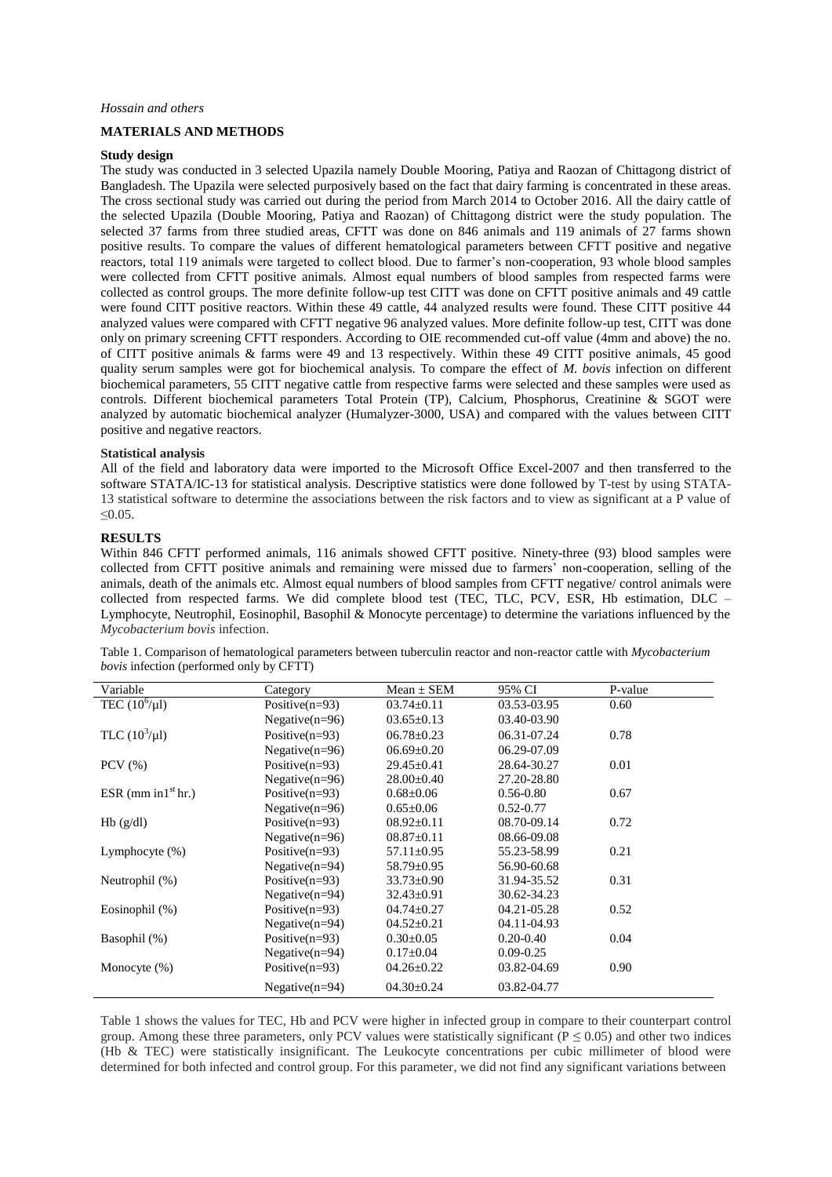### *Hossain and others*

## **MATERIALS AND METHODS**

#### **Study design**

The study was conducted in 3 selected Upazila namely Double Mooring, Patiya and Raozan of Chittagong district of Bangladesh. The Upazila were selected purposively based on the fact that dairy farming is concentrated in these areas. The cross sectional study was carried out during the period from March 2014 to October 2016. All the dairy cattle of the selected Upazila (Double Mooring, Patiya and Raozan) of Chittagong district were the study population. The selected 37 farms from three studied areas, CFTT was done on 846 animals and 119 animals of 27 farms shown positive results. To compare the values of different hematological parameters between CFTT positive and negative reactors, total 119 animals were targeted to collect blood. Due to farmer's non-cooperation, 93 whole blood samples were collected from CFTT positive animals. Almost equal numbers of blood samples from respected farms were collected as control groups. The more definite follow-up test CITT was done on CFTT positive animals and 49 cattle were found CITT positive reactors. Within these 49 cattle, 44 analyzed results were found. These CITT positive 44 analyzed values were compared with CFTT negative 96 analyzed values. More definite follow-up test, CITT was done only on primary screening CFTT responders. According to OIE recommended cut-off value (4mm and above) the no. of CITT positive animals & farms were 49 and 13 respectively. Within these 49 CITT positive animals, 45 good quality serum samples were got for biochemical analysis. To compare the effect of *M. bovis* infection on different biochemical parameters, 55 CITT negative cattle from respective farms were selected and these samples were used as controls. Different biochemical parameters Total Protein (TP), Calcium, Phosphorus, Creatinine & SGOT were analyzed by automatic biochemical analyzer (Humalyzer-3000, USA) and compared with the values between CITT positive and negative reactors.

### **Statistical analysis**

All of the field and laboratory data were imported to the Microsoft Office Excel-2007 and then transferred to the software STATA/IC-13 for statistical analysis. Descriptive statistics were done followed by T-test by using STATA-13 statistical software to determine the associations between the risk factors and to view as significant at a P value of  $< 0.05$ .

#### **RESULTS**

Within 846 CFTT performed animals, 116 animals showed CFTT positive. Ninety-three (93) blood samples were collected from CFTT positive animals and remaining were missed due to farmers' non-cooperation, selling of the animals, death of the animals etc. Almost equal numbers of blood samples from CFTT negative/ control animals were collected from respected farms. We did complete blood test (TEC, TLC, PCV, ESR, Hb estimation, DLC – Lymphocyte, Neutrophil, Eosinophil, Basophil & Monocyte percentage) to determine the variations influenced by the *Mycobacterium bovis* infection.

| Variable              | Category          | $Mean \pm SEM$   | 95% CI        | P-value |
|-----------------------|-------------------|------------------|---------------|---------|
| TEC $(10^6/\mu l)$    | Positive $(n=93)$ | $03.74 \pm 0.11$ | 03.53-03.95   | 0.60    |
|                       | Negative $(n=96)$ | $03.65 \pm 0.13$ | 03.40-03.90   |         |
| TLC $(10^3/\mu l)$    | Positive $(n=93)$ | $06.78 \pm 0.23$ | 06.31-07.24   | 0.78    |
|                       | Negative $(n=96)$ | $06.69 \pm 0.20$ | 06.29-07.09   |         |
| $PCV$ $(\% )$         | Positive $(n=93)$ | $29.45 \pm 0.41$ | 28.64-30.27   | 0.01    |
|                       | Negative $(n=96)$ | $28.00 \pm 0.40$ | 27.20-28.80   |         |
| ESR (mm in $1st$ hr.) | Positive $(n=93)$ | $0.68 \pm 0.06$  | $0.56 - 0.80$ | 0.67    |
|                       | Negative $(n=96)$ | $0.65 \pm 0.06$  | $0.52 - 0.77$ |         |
| Hb(g/dl)              | Positive $(n=93)$ | $08.92 \pm 0.11$ | 08.70-09.14   | 0.72    |
|                       | Negative $(n=96)$ | $08.87 \pm 0.11$ | 08.66-09.08   |         |
| Lymphocyte $(\%)$     | Positive $(n=93)$ | $57.11 \pm 0.95$ | 55.23-58.99   | 0.21    |
|                       | Negative $(n=94)$ | $58.79 \pm 0.95$ | 56.90-60.68   |         |
| Neutrophil (%)        | Positive $(n=93)$ | $33.73 \pm 0.90$ | 31.94-35.52   | 0.31    |
|                       | Negative $(n=94)$ | $32.43 \pm 0.91$ | 30.62-34.23   |         |
| Eosinophil $(\%)$     | Positive $(n=93)$ | $04.74 \pm 0.27$ | 04.21-05.28   | 0.52    |
|                       | Negative $(n=94)$ | $04.52 \pm 0.21$ | 04.11-04.93   |         |
| Basophil (%)          | Positive $(n=93)$ | $0.30 \pm 0.05$  | $0.20 - 0.40$ | 0.04    |
|                       | Negative $(n=94)$ | $0.17 \pm 0.04$  | $0.09 - 0.25$ |         |
| Monocyte $(\%)$       | Positive $(n=93)$ | $04.26 \pm 0.22$ | 03.82-04.69   | 0.90    |
|                       | Negative $(n=94)$ | $04.30 \pm 0.24$ | 03.82-04.77   |         |

Table 1. Comparison of hematological parameters between tuberculin reactor and non-reactor cattle with *Mycobacterium bovis* infection (performed only by CFTT)

Table 1 shows the values for TEC, Hb and PCV were higher in infected group in compare to their counterpart control group. Among these three parameters, only PCV values were statistically significant ( $\hat{P}$  < 0.05) and other two indices (Hb & TEC) were statistically insignificant. The Leukocyte concentrations per cubic millimeter of blood were determined for both infected and control group. For this parameter, we did not find any significant variations between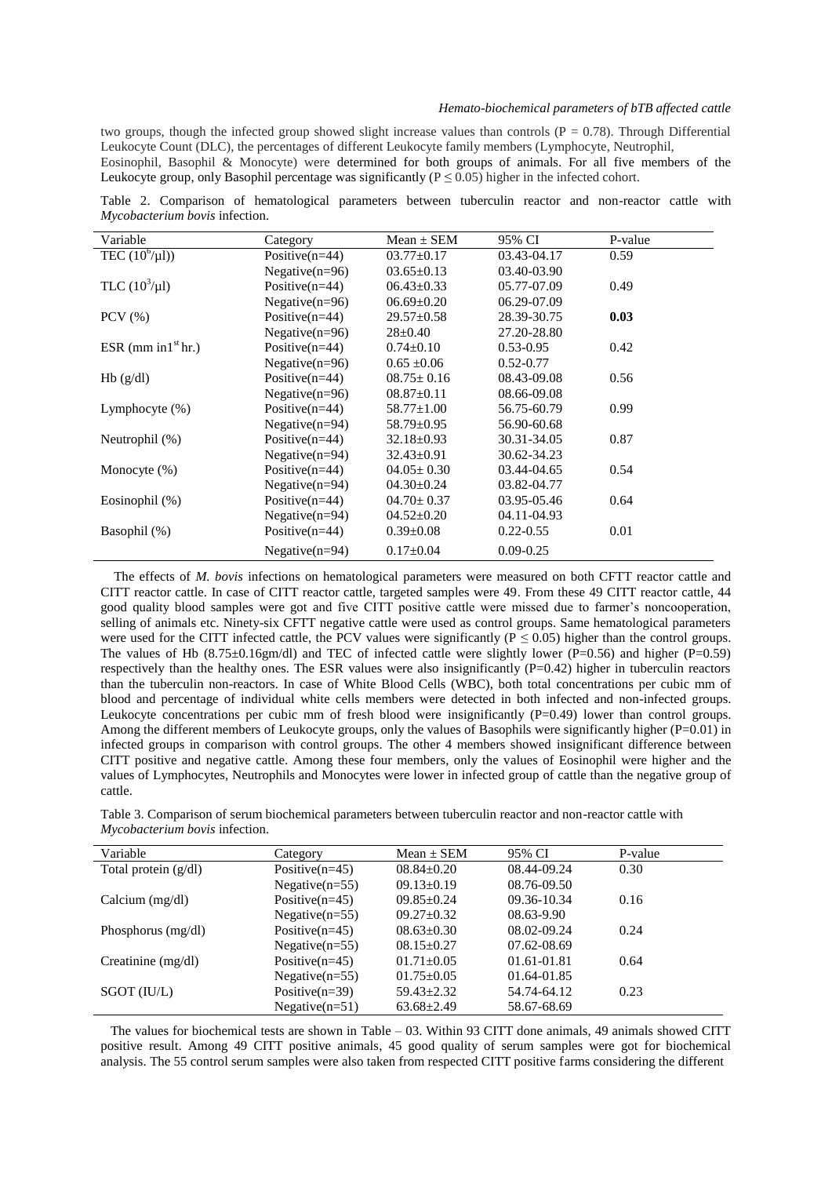### *Hemato-biochemical parameters of bTB affected cattle*

two groups, though the infected group showed slight increase values than controls  $(P = 0.78)$ . Through Differential Leukocyte Count (DLC), the percentages of different Leukocyte family members (Lymphocyte, Neutrophil,

Eosinophil, Basophil & Monocyte) were determined for both groups of animals. For all five members of the Leukocyte group, only Basophil percentage was significantly ( $P \le 0.05$ ) higher in the infected cohort.

Table 2. Comparison of hematological parameters between tuberculin reactor and non-reactor cattle with *Mycobacterium bovis* infection.

| Variable              | Category          | $Mean \pm SEM$   | 95% CI          | P-value |
|-----------------------|-------------------|------------------|-----------------|---------|
| TEC $(10^6/\mu I)$    | Positive $(n=44)$ | $03.77 \pm 0.17$ | 03.43-04.17     | 0.59    |
|                       | Negative $(n=96)$ | $03.65 \pm 0.13$ | $03.40 - 03.90$ |         |
| TLC $(10^3/\mu l)$    | Positive $(n=44)$ | $06.43 \pm 0.33$ | 05.77-07.09     | 0.49    |
|                       | Negative $(n=96)$ | $06.69 \pm 0.20$ | 06.29-07.09     |         |
| $PCV$ $(\% )$         | Positive $(n=44)$ | $29.57 \pm 0.58$ | 28.39-30.75     | 0.03    |
|                       | Negative $(n=96)$ | $28 \pm 0.40$    | 27.20-28.80     |         |
| ESR (mm in $1st$ hr.) | Positive $(n=44)$ | $0.74 \pm 0.10$  | $0.53 - 0.95$   | 0.42    |
|                       | Negative $(n=96)$ | $0.65 \pm 0.06$  | $0.52 - 0.77$   |         |
| Hb(g/dl)              | Positive $(n=44)$ | $08.75 \pm 0.16$ | 08.43-09.08     | 0.56    |
|                       | Negative $(n=96)$ | $08.87 \pm 0.11$ | 08.66-09.08     |         |
| Lymphocyte $(\%)$     | Positive $(n=44)$ | $58.77 \pm 1.00$ | 56.75-60.79     | 0.99    |
|                       | Negative $(n=94)$ | $58.79 \pm 0.95$ | 56.90-60.68     |         |
| Neutrophil (%)        | Positive $(n=44)$ | $32.18 \pm 0.93$ | 30.31-34.05     | 0.87    |
|                       | Negative $(n=94)$ | $32.43 \pm 0.91$ | 30.62-34.23     |         |
| Monocyte $(\% )$      | Positive $(n=44)$ | $04.05 \pm 0.30$ | 03.44-04.65     | 0.54    |
|                       | Negative $(n=94)$ | $04.30 \pm 0.24$ | 03.82-04.77     |         |
| Eosinophil (%)        | Positive $(n=44)$ | $04.70 \pm 0.37$ | 03.95-05.46     | 0.64    |
|                       | Negative $(n=94)$ | $04.52 \pm 0.20$ | 04.11-04.93     |         |
| Basophil (%)          | Positive $(n=44)$ | $0.39 \pm 0.08$  | $0.22 - 0.55$   | 0.01    |
|                       | Negative $(n=94)$ | $0.17 \pm 0.04$  | $0.09 - 0.25$   |         |

 The effects of *M. bovis* infections on hematological parameters were measured on both CFTT reactor cattle and CITT reactor cattle. In case of CITT reactor cattle, targeted samples were 49. From these 49 CITT reactor cattle, 44 good quality blood samples were got and five CITT positive cattle were missed due to farmer's noncooperation, selling of animals etc. Ninety-six CFTT negative cattle were used as control groups. Same hematological parameters were used for the CITT infected cattle, the PCV values were significantly ( $P \le 0.05$ ) higher than the control groups. The values of Hb  $(8.75\pm0.16$ gm/dl) and TEC of infected cattle were slightly lower (P=0.56) and higher (P=0.59) respectively than the healthy ones. The ESR values were also insignificantly  $(P=0.42)$  higher in tuberculin reactors than the tuberculin non-reactors. In case of White Blood Cells (WBC), both total concentrations per cubic mm of blood and percentage of individual white cells members were detected in both infected and non-infected groups. Leukocyte concentrations per cubic mm of fresh blood were insignificantly (P=0.49) lower than control groups. Among the different members of Leukocyte groups, only the values of Basophils were significantly higher  $(P=0.01)$  in infected groups in comparison with control groups. The other 4 members showed insignificant difference between CITT positive and negative cattle. Among these four members, only the values of Eosinophil were higher and the values of Lymphocytes, Neutrophils and Monocytes were lower in infected group of cattle than the negative group of cattle.

Table 3. Comparison of serum biochemical parameters between tuberculin reactor and non-reactor cattle with *Mycobacterium bovis* infection.

| Variable               | Category          | $Mean \pm SEM$   | 95% CI      | P-value |
|------------------------|-------------------|------------------|-------------|---------|
| Total protein $(g/dl)$ | Positive $(n=45)$ | $08.84 \pm 0.20$ | 08.44-09.24 | 0.30    |
|                        | Negative $(n=55)$ | $09.13 \pm 0.19$ | 08.76-09.50 |         |
| Calcium $(mg/dl)$      | Positive $(n=45)$ | $09.85 \pm 0.24$ | 09.36-10.34 | 0.16    |
|                        | Negative $(n=55)$ | $09.27 \pm 0.32$ | 08.63-9.90  |         |
| Phosphorus $(mg/dl)$   | Positive $(n=45)$ | $08.63 \pm 0.30$ | 08.02-09.24 | 0.24    |
|                        | Negative $(n=55)$ | $08.15 + 0.27$   | 07.62-08.69 |         |
| Creatinine (mg/dl)     | Positive $(n=45)$ | $01.71 \pm 0.05$ | 01.61-01.81 | 0.64    |
|                        | Negative $(n=55)$ | $01.75 \pm 0.05$ | 01.64-01.85 |         |
| SGOT (IU/L)            | Positive $(n=39)$ | $59.43 \pm 2.32$ | 54.74-64.12 | 0.23    |
|                        | Negative $(n=51)$ | $63.68 \pm 2.49$ | 58.67-68.69 |         |

 The values for biochemical tests are shown in Table – 03. Within 93 CITT done animals, 49 animals showed CITT positive result. Among 49 CITT positive animals, 45 good quality of serum samples were got for biochemical analysis. The 55 control serum samples were also taken from respected CITT positive farms considering the different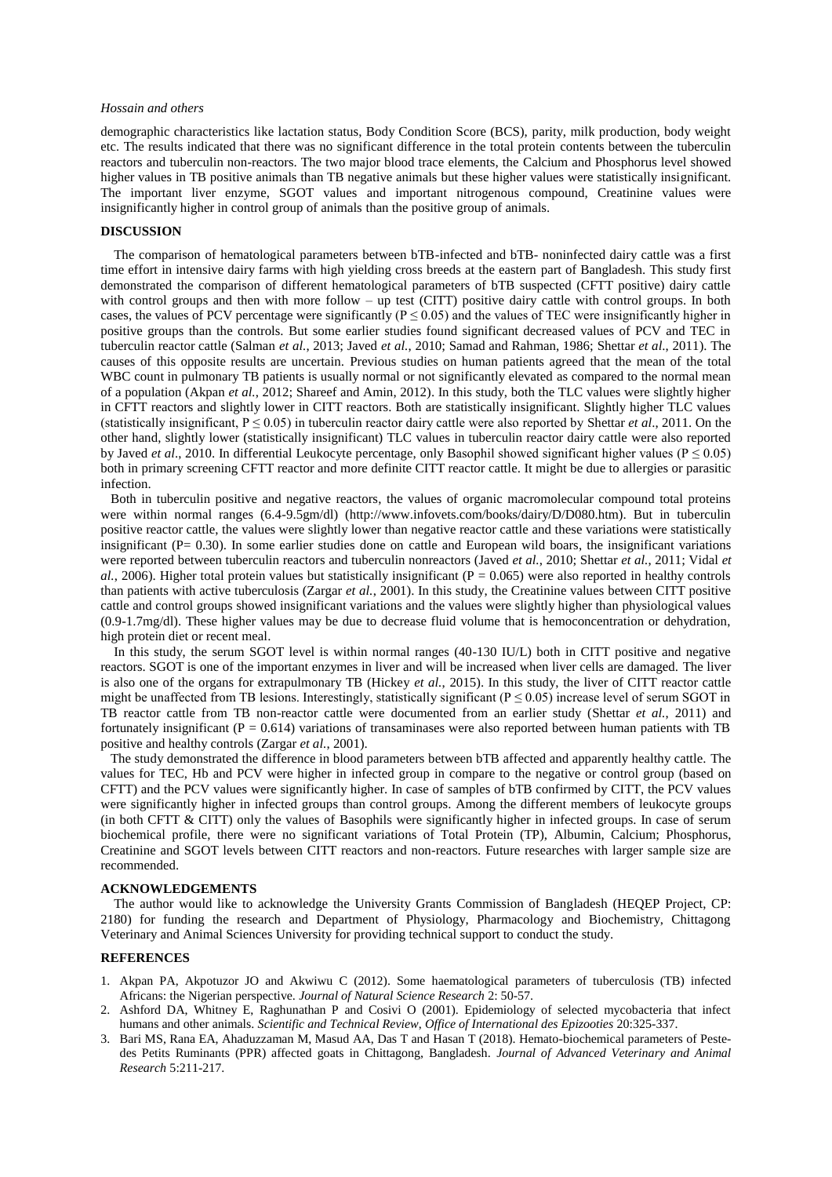#### *Hossain and others*

demographic characteristics like lactation status, Body Condition Score (BCS), parity, milk production, body weight etc. The results indicated that there was no significant difference in the total protein contents between the tuberculin reactors and tuberculin non-reactors. The two major blood trace elements, the Calcium and Phosphorus level showed higher values in TB positive animals than TB negative animals but these higher values were statistically insignificant. The important liver enzyme, SGOT values and important nitrogenous compound, Creatinine values were insignificantly higher in control group of animals than the positive group of animals.

### **DISCUSSION**

 The comparison of hematological parameters between bTB-infected and bTB- noninfected dairy cattle was a first time effort in intensive dairy farms with high yielding cross breeds at the eastern part of Bangladesh. This study first demonstrated the comparison of different hematological parameters of bTB suspected (CFTT positive) dairy cattle with control groups and then with more follow – up test (CITT) positive dairy cattle with control groups. In both cases, the values of PCV percentage were significantly ( $P \le 0.05$ ) and the values of TEC were insignificantly higher in positive groups than the controls. But some earlier studies found significant decreased values of PCV and TEC in tuberculin reactor cattle (Salman *et al.*, 2013; Javed *et al.*, 2010; Samad and Rahman, 1986; Shettar *et al*., 2011). The causes of this opposite results are uncertain. Previous studies on human patients agreed that the mean of the total WBC count in pulmonary TB patients is usually normal or not significantly elevated as compared to the normal mean of a population (Akpan *et al.*, 2012; Shareef and Amin, 2012). In this study, both the TLC values were slightly higher in CFTT reactors and slightly lower in CITT reactors. Both are statistically insignificant. Slightly higher TLC values (statistically insignificant,  $P \le 0.05$ ) in tuberculin reactor dairy cattle were also reported by Shettar *et al.*, 2011. On the other hand, slightly lower (statistically insignificant) TLC values in tuberculin reactor dairy cattle were also reported by Javed *et al.*, 2010. In differential Leukocyte percentage, only Basophil showed significant higher values ( $P \le 0.05$ ) both in primary screening CFTT reactor and more definite CITT reactor cattle. It might be due to allergies or parasitic infection.

 Both in tuberculin positive and negative reactors, the values of organic macromolecular compound total proteins were within normal ranges (6.4-9.5gm/dl) (http://www.infovets.com/books/dairy/D/D080.htm). But in tuberculin positive reactor cattle, the values were slightly lower than negative reactor cattle and these variations were statistically insignificant ( $P = 0.30$ ). In some earlier studies done on cattle and European wild boars, the insignificant variations were reported between tuberculin reactors and tuberculin nonreactors (Javed *et al.*, 2010; Shettar *et al.*, 2011; Vidal *et*   $a$ ., 2006). Higher total protein values but statistically insignificant ( $P = 0.065$ ) were also reported in healthy controls than patients with active tuberculosis (Zargar *et al.*, 2001). In this study, the Creatinine values between CITT positive cattle and control groups showed insignificant variations and the values were slightly higher than physiological values (0.9-1.7mg/dl). These higher values may be due to decrease fluid volume that is hemoconcentration or dehydration, high protein diet or recent meal.

 In this study, the serum SGOT level is within normal ranges (40-130 IU/L) both in CITT positive and negative reactors. SGOT is one of the important enzymes in liver and will be increased when liver cells are damaged. The liver is also one of the organs for extrapulmonary TB (Hickey *et al.*, 2015). In this study, the liver of CITT reactor cattle might be unaffected from TB lesions. Interestingly, statistically significant ( $P \le 0.05$ ) increase level of serum SGOT in TB reactor cattle from TB non-reactor cattle were documented from an earlier study (Shettar *et al.*, 2011) and fortunately insignificant ( $P = 0.614$ ) variations of transaminases were also reported between human patients with TB positive and healthy controls (Zargar *et al.*, 2001).

 The study demonstrated the difference in blood parameters between bTB affected and apparently healthy cattle. The values for TEC, Hb and PCV were higher in infected group in compare to the negative or control group (based on CFTT) and the PCV values were significantly higher. In case of samples of bTB confirmed by CITT, the PCV values were significantly higher in infected groups than control groups. Among the different members of leukocyte groups (in both CFTT & CITT) only the values of Basophils were significantly higher in infected groups. In case of serum biochemical profile, there were no significant variations of Total Protein (TP), Albumin, Calcium; Phosphorus, Creatinine and SGOT levels between CITT reactors and non-reactors. Future researches with larger sample size are recommended.

## **ACKNOWLEDGEMENTS**

 The author would like to acknowledge the University Grants Commission of Bangladesh (HEQEP Project, CP: 2180) for funding the research and Department of Physiology, Pharmacology and Biochemistry, Chittagong Veterinary and Animal Sciences University for providing technical support to conduct the study.

## **REFERENCES**

- 1. Akpan PA, Akpotuzor JO and Akwiwu C (2012). Some haematological parameters of tuberculosis (TB) infected Africans: the Nigerian perspective. *Journal of Natural Science Research* 2: 50-57.
- 2. Ashford DA, Whitney E, Raghunathan P and Cosivi O (2001). Epidemiology of selected mycobacteria that infect humans and other animals. *Scientific and Technical Review*, *Office of International des Epizooties* 20:325-337.
- 3. Bari MS, Rana EA, Ahaduzzaman M, Masud AA, Das T and Hasan T (2018). Hemato-biochemical parameters of Pestedes Petits Ruminants (PPR) affected goats in Chittagong, Bangladesh. *Journal of Advanced Veterinary and Animal Research* 5:211-217.